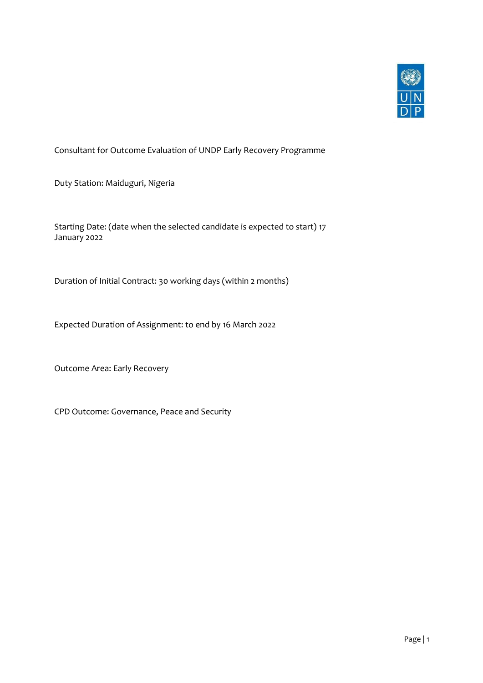

Consultant for Outcome Evaluation of UNDP Early Recovery Programme

Duty Station: Maiduguri, Nigeria

Starting Date: (date when the selected candidate is expected to start) 17 January 2022

Duration of Initial Contract: 30 working days (within 2 months)

Expected Duration of Assignment: to end by 16 March 2022

Outcome Area: Early Recovery

CPD Outcome: Governance, Peace and Security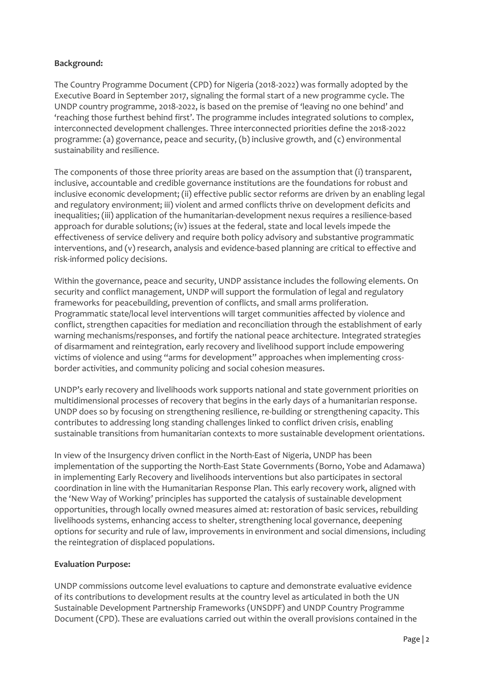## **Background:**

The Country Programme Document (CPD) for Nigeria (2018-2022) was formally adopted by the Executive Board in September 2017, signaling the formal start of a new programme cycle. The UNDP country programme, 2018-2022, is based on the premise of 'leaving no one behind' and 'reaching those furthest behind first'. The programme includes integrated solutions to complex, interconnected development challenges. Three interconnected priorities define the 2018-2022 programme: (a) governance, peace and security, (b) inclusive growth, and (c) environmental sustainability and resilience.

The components of those three priority areas are based on the assumption that (i) transparent, inclusive, accountable and credible governance institutions are the foundations for robust and inclusive economic development; (ii) effective public sector reforms are driven by an enabling legal and regulatory environment; iii) violent and armed conflicts thrive on development deficits and inequalities; (iii) application of the humanitarian-development nexus requires a resilience-based approach for durable solutions; (iv) issues at the federal, state and local levels impede the effectiveness of service delivery and require both policy advisory and substantive programmatic interventions, and (v) research, analysis and evidence-based planning are critical to effective and risk-informed policy decisions.

Within the governance, peace and security, UNDP assistance includes the following elements. On security and conflict management, UNDP will support the formulation of legal and regulatory frameworks for peacebuilding, prevention of conflicts, and small arms proliferation. Programmatic state/local level interventions will target communities affected by violence and conflict, strengthen capacities for mediation and reconciliation through the establishment of early warning mechanisms/responses, and fortify the national peace architecture. Integrated strategies of disarmament and reintegration, early recovery and livelihood support include empowering victims of violence and using "arms for development" approaches when implementing crossborder activities, and community policing and social cohesion measures.

UNDP's early recovery and livelihoods work supports national and state government priorities on multidimensional processes of recovery that begins in the early days of a humanitarian response. UNDP does so by focusing on strengthening resilience, re-building or strengthening capacity. This contributes to addressing long standing challenges linked to conflict driven crisis, enabling sustainable transitions from humanitarian contexts to more sustainable development orientations.

In view of the Insurgency driven conflict in the North-East of Nigeria, UNDP has been implementation of the supporting the North-East State Governments (Borno, Yobe and Adamawa) in implementing Early Recovery and livelihoods interventions but also participates in sectoral coordination in line with the Humanitarian Response Plan. This early recovery work, aligned with the 'New Way of Working' principles has supported the catalysis of sustainable development opportunities, through locally owned measures aimed at: restoration of basic services, rebuilding livelihoods systems, enhancing access to shelter, strengthening local governance, deepening options for security and rule of law, improvements in environment and social dimensions, including the reintegration of displaced populations.

## **Evaluation Purpose:**

UNDP commissions outcome level evaluations to capture and demonstrate evaluative evidence of its contributions to development results at the country level as articulated in both the UN Sustainable Development Partnership Frameworks (UNSDPF) and UNDP Country Programme Document (CPD). These are evaluations carried out within the overall provisions contained in the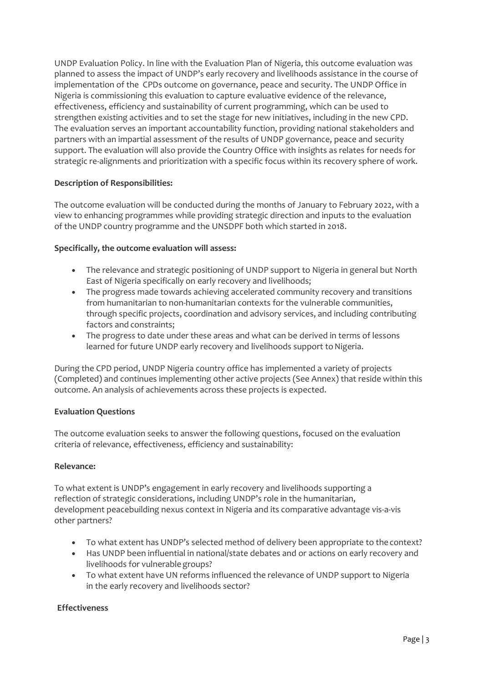UNDP Evaluation Policy. In line with the Evaluation Plan of Nigeria, this outcome evaluation was planned to assess the impact of UNDP's early recovery and livelihoods assistance in the course of implementation of the CPDs outcome on governance, peace and security. The UNDP Office in Nigeria is commissioning this evaluation to capture evaluative evidence of the relevance, effectiveness, efficiency and sustainability of current programming, which can be used to strengthen existing activities and to set the stage for new initiatives, including in the new CPD. The evaluation serves an important accountability function, providing national stakeholders and partners with an impartial assessment of the results of UNDP governance, peace and security support. The evaluation will also provide the Country Office with insights as relates for needs for strategic re-alignments and prioritization with a specific focus within its recovery sphere of work.

# **Description of Responsibilities:**

The outcome evaluation will be conducted during the months of January to February 2022, with a view to enhancing programmes while providing strategic direction and inputs to the evaluation of the UNDP country programme and the UNSDPF both which started in 2018.

## **Specifically, the outcome evaluation will assess:**

- The relevance and strategic positioning of UNDP support to Nigeria in general but North East of Nigeria specifically on early recovery and livelihoods;
- The progress made towards achieving accelerated community recovery and transitions from humanitarian to non-humanitarian contexts for the vulnerable communities, through specific projects, coordination and advisory services, and including contributing factors and constraints;
- The progress to date under these areas and what can be derived in terms of lessons learned for future UNDP early recovery and livelihoods support to Nigeria.

During the CPD period, UNDP Nigeria country office has implemented a variety of projects (Completed) and continues implementing other active projects (See Annex) that reside within this outcome. An analysis of achievements across these projects is expected.

## **Evaluation Questions**

The outcome evaluation seeks to answer the following questions, focused on the evaluation criteria of relevance, effectiveness, efficiency and sustainability:

## **Relevance:**

To what extent is UNDP's engagement in early recovery and livelihoods supporting a reflection of strategic considerations, including UNDP's role in the humanitarian, development peacebuilding nexus context in Nigeria and its comparative advantage vis-a-vis other partners?

- To what extent has UNDP's selected method of delivery been appropriate to the context?
- Has UNDP been influential in national/state debates and or actions on early recovery and livelihoods for vulnerablegroups?
- To what extent have UN reforms influenced the relevance of UNDP support to Nigeria in the early recovery and livelihoods sector?

## **Effectiveness**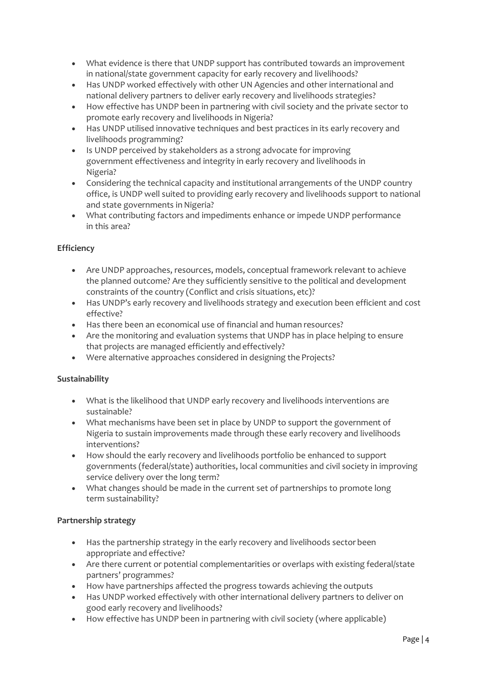- What evidence is there that UNDP support has contributed towards an improvement in national/state government capacity for early recovery and livelihoods?
- Has UNDP worked effectively with other UN Agencies and other international and national delivery partners to deliver early recovery and livelihoods strategies?
- How effective has UNDP been in partnering with civil society and the private sector to promote early recovery and livelihoods in Nigeria?
- Has UNDP utilised innovative techniques and best practices in its early recovery and livelihoods programming?
- Is UNDP perceived by stakeholders as a strong advocate for improving government effectiveness and integrity in early recovery and livelihoods in Nigeria?
- Considering the technical capacity and institutional arrangements of the UNDP country office, is UNDP well suited to providing early recovery and livelihoods support to national and state governments in Nigeria?
- What contributing factors and impediments enhance or impede UNDP performance in this area?

# **Efficiency**

- Are UNDP approaches, resources, models, conceptual framework relevant to achieve the planned outcome? Are they sufficiently sensitive to the political and development constraints of the country (Conflict and crisis situations, etc)?
- Has UNDP's early recovery and livelihoods strategy and execution been efficient and cost effective?
- Has there been an economical use of financial and human resources?
- Are the monitoring and evaluation systems that UNDP has in place helping to ensure that projects are managed efficiently and effectively?
- Were alternative approaches considered in designing the Projects?

## **Sustainability**

- What is the likelihood that UNDP early recovery and livelihoods interventions are sustainable?
- What mechanisms have been set in place by UNDP to support the government of Nigeria to sustain improvements made through these early recovery and livelihoods interventions?
- How should the early recovery and livelihoods portfolio be enhanced to support governments (federal/state) authorities, local communities and civil society in improving service delivery over the long term?
- What changes should be made in the current set of partnerships to promote long term sustainability?

## **Partnership strategy**

- Has the partnership strategy in the early recovery and livelihoods sector been appropriate and effective?
- Are there current or potential complementarities or overlaps with existing federal/state partners' programmes?
- How have partnerships affected the progress towards achieving the outputs
- Has UNDP worked effectively with other international delivery partners to deliver on good early recovery and livelihoods?
- How effective has UNDP been in partnering with civil society (where applicable)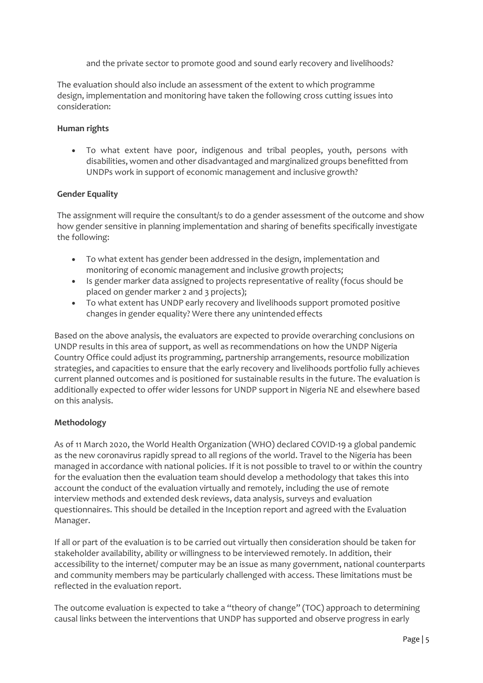and the private sector to promote good and sound early recovery and livelihoods?

The evaluation should also include an assessment of the extent to which programme design, implementation and monitoring have taken the following cross cutting issues into consideration:

### **Human rights**

• To what extent have poor, indigenous and tribal peoples, youth, persons with disabilities, women and other disadvantaged and marginalized groups benefitted from UNDPs work in support of economic management and inclusive growth?

### **Gender Equality**

The assignment will require the consultant/s to do a gender assessment of the outcome and show how gender sensitive in planning implementation and sharing of benefits specifically investigate the following:

- To what extent has gender been addressed in the design, implementation and monitoring of economic management and inclusive growth projects;
- Is gender marker data assigned to projects representative of reality (focus should be placed on gender marker 2 and 3 projects);
- To what extent has UNDP early recovery and livelihoods support promoted positive changes in gender equality? Were there any unintendedeffects

Based on the above analysis, the evaluators are expected to provide overarching conclusions on UNDP results in this area of support, as well as recommendations on how the UNDP Nigeria Country Office could adjust its programming, partnership arrangements, resource mobilization strategies, and capacities to ensure that the early recovery and livelihoods portfolio fully achieves current planned outcomes and is positioned for sustainable results in the future. The evaluation is additionally expected to offer wider lessons for UNDP support in Nigeria NE and elsewhere based on this analysis.

## **Methodology**

As of 11 March 2020, the World Health Organization (WHO) declared COVID-19 a global pandemic as the new coronavirus rapidly spread to all regions of the world. Travel to the Nigeria has been managed in accordance with national policies. If it is not possible to travel to or within the country for the evaluation then the evaluation team should develop a methodology that takes this into account the conduct of the evaluation virtually and remotely, including the use of remote interview methods and extended desk reviews, data analysis, surveys and evaluation questionnaires. This should be detailed in the Inception report and agreed with the Evaluation Manager.

If all or part of the evaluation is to be carried out virtually then consideration should be taken for stakeholder availability, ability or willingness to be interviewed remotely. In addition, their accessibility to the internet/ computer may be an issue as many government, national counterparts and community members may be particularly challenged with access. These limitations must be reflected in the evaluation report.

The outcome evaluation is expected to take a "theory of change'' (TOC) approach to determining causal links between the interventions that UNDP has supported and observe progress in early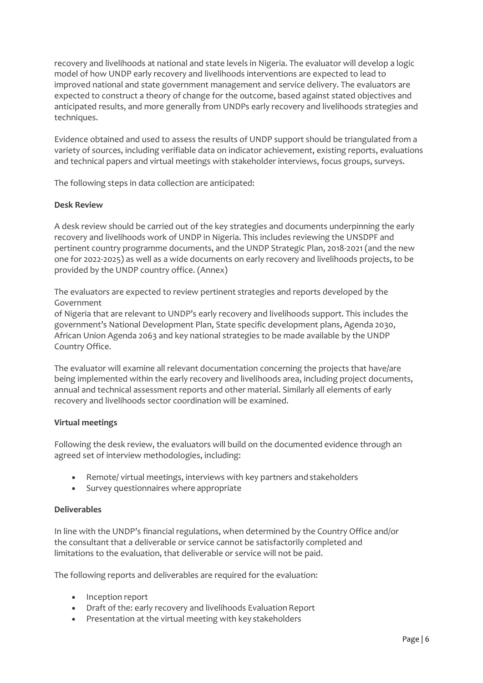recovery and livelihoods at national and state levels in Nigeria. The evaluator will develop a logic model of how UNDP early recovery and livelihoods interventions are expected to lead to improved national and state government management and service delivery. The evaluators are expected to construct a theory of change for the outcome, based against stated objectives and anticipated results, and more generally from UNDPs early recovery and livelihoods strategies and techniques.

Evidence obtained and used to assess the results of UNDP support should be triangulated from a variety of sources, including verifiable data on indicator achievement, existing reports, evaluations and technical papers and virtual meetings with stakeholder interviews, focus groups, surveys.

The following steps in data collection are anticipated:

#### **Desk Review**

A desk review should be carried out of the key strategies and documents underpinning the early recovery and livelihoods work of UNDP in Nigeria. This includes reviewing the UNSDPF and pertinent country programme documents, and the UNDP Strategic Plan, 2018-2021 (and the new one for 2022-2025) as well as a wide documents on early recovery and livelihoods projects, to be provided by the UNDP country office. (Annex)

The evaluators are expected to review pertinent strategies and reports developed by the Government

of Nigeria that are relevant to UNDP's early recovery and livelihoods support. This includes the government's National Development Plan, State specific development plans, Agenda 2030, African Union Agenda 2063 and key national strategies to be made available by the UNDP Country Office.

The evaluator will examine all relevant documentation concerning the projects that have/are being implemented within the early recovery and livelihoods area, including project documents, annual and technical assessment reports and other material. Similarly all elements of early recovery and livelihoods sector coordination will be examined.

## **Virtual meetings**

Following the desk review, the evaluators will build on the documented evidence through an agreed set of interview methodologies, including:

- Remote/ virtual meetings, interviews with key partners and stakeholders
- Survey questionnaires where appropriate

#### **Deliverables**

In line with the UNDP's financial regulations, when determined by the Country Office and/or the consultant that a deliverable or service cannot be satisfactorily completed and limitations to the evaluation, that deliverable or service will not be paid.

The following reports and deliverables are required for the evaluation:

- Inception report
- Draft of the: early recovery and livelihoods Evaluation Report
- Presentation at the virtual meeting with key stakeholders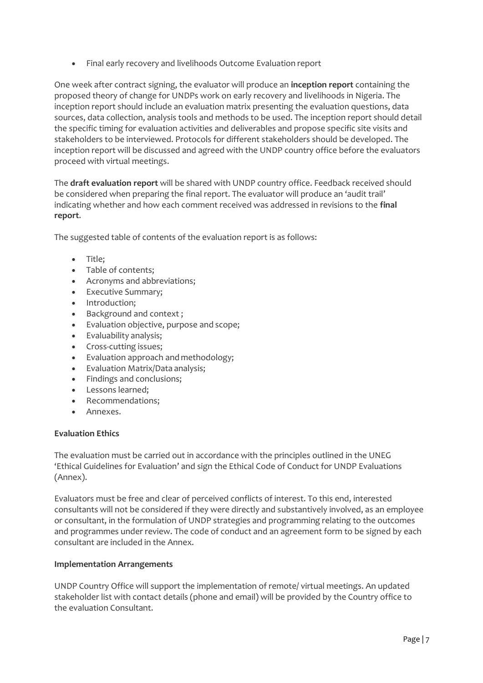• Final early recovery and livelihoods Outcome Evaluation report

One week after contract signing, the evaluator will produce an **inception report** containing the proposed theory of change for UNDPs work on early recovery and livelihoods in Nigeria. The inception report should include an evaluation matrix presenting the evaluation questions, data sources, data collection, analysis tools and methods to be used. The inception report should detail the specific timing for evaluation activities and deliverables and propose specific site visits and stakeholders to be interviewed. Protocols for different stakeholders should be developed. The inception report will be discussed and agreed with the UNDP country office before the evaluators proceed with virtual meetings.

The **draft evaluation report** will be shared with UNDP country office. Feedback received should be considered when preparing the final report. The evaluator will produce an 'audit trail' indicating whether and how each comment received was addressed in revisions to the **final report**.

The suggested table of contents of the evaluation report is as follows:

- Title;
- Table of contents;
- Acronyms and abbreviations;
- Executive Summary;
- Introduction;
- Background and context ;
- Evaluation objective, purpose and scope;
- Evaluability analysis;
- Cross-cutting issues;
- Evaluation approach and methodology;
- Evaluation Matrix/Data analysis;
- Findings and conclusions;
- Lessons learned;
- Recommendations;
- Annexes.

## **Evaluation Ethics**

The evaluation must be carried out in accordance with the principles outlined in the UNEG 'Ethical Guidelines for Evaluation' and sign the Ethical Code of Conduct for UNDP Evaluations (Annex).

Evaluators must be free and clear of perceived conflicts of interest. To this end, interested consultants will not be considered if they were directly and substantively involved, as an employee or consultant, in the formulation of UNDP strategies and programming relating to the outcomes and programmes under review. The code of conduct and an agreement form to be signed by each consultant are included in the Annex.

## **Implementation Arrangements**

UNDP Country Office will support the implementation of remote/ virtual meetings. An updated stakeholder list with contact details (phone and email) will be provided by the Country office to the evaluation Consultant.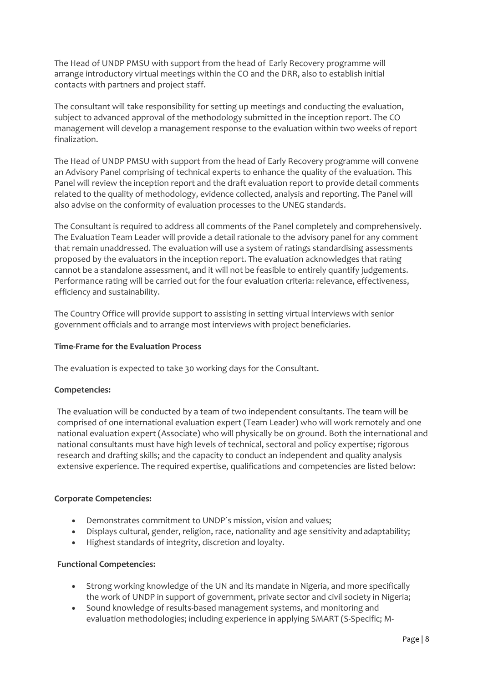The Head of UNDP PMSU with support from the head of Early Recovery programme will arrange introductory virtual meetings within the CO and the DRR, also to establish initial contacts with partners and project staff.

The consultant will take responsibility for setting up meetings and conducting the evaluation, subject to advanced approval of the methodology submitted in the inception report. The CO management will develop a management response to the evaluation within two weeks of report finalization.

The Head of UNDP PMSU with support from the head of Early Recovery programme will convene an Advisory Panel comprising of technical experts to enhance the quality of the evaluation. This Panel will review the inception report and the draft evaluation report to provide detail comments related to the quality of methodology, evidence collected, analysis and reporting. The Panel will also advise on the conformity of evaluation processes to the UNEG standards.

The Consultant is required to address all comments of the Panel completely and comprehensively. The Evaluation Team Leader will provide a detail rationale to the advisory panel for any comment that remain unaddressed. The evaluation will use a system of ratings standardising assessments proposed by the evaluators in the inception report. The evaluation acknowledges that rating cannot be a standalone assessment, and it will not be feasible to entirely quantify judgements. Performance rating will be carried out for the four evaluation criteria: relevance, effectiveness, efficiency and sustainability.

The Country Office will provide support to assisting in setting virtual interviews with senior government officials and to arrange most interviews with project beneficiaries.

## **Time-Frame for the Evaluation Process**

The evaluation is expected to take 30 working days for the Consultant.

#### **Competencies:**

The evaluation will be conducted by a team of two independent consultants. The team will be comprised of one international evaluation expert (Team Leader) who will work remotely and one national evaluation expert (Associate) who will physically be on ground. Both the international and national consultants must have high levels of technical, sectoral and policy expertise; rigorous research and drafting skills; and the capacity to conduct an independent and quality analysis extensive experience. The required expertise, qualifications and competencies are listed below:

#### **Corporate Competencies:**

- Demonstrates commitment to UNDP´s mission, vision and values;
- Displays cultural, gender, religion, race, nationality and age sensitivity and adaptability;
- Highest standards of integrity, discretion and loyalty.

#### **Functional Competencies:**

- Strong working knowledge of the UN and its mandate in Nigeria, and more specifically the work of UNDP in support of government, private sector and civil society in Nigeria;
- Sound knowledge of results-based management systems, and monitoring and evaluation methodologies; including experience in applying SMART (S-Specific; M-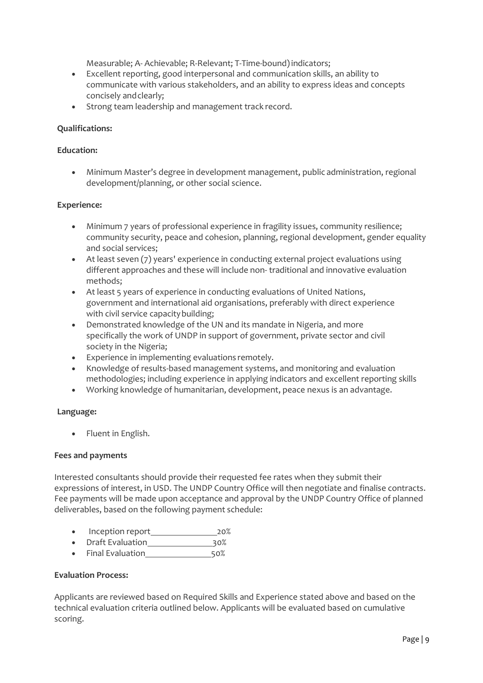Measurable; A- Achievable; R-Relevant; T-Time-bound)indicators;

- Excellent reporting, good interpersonal and communication skills, an ability to communicate with various stakeholders, and an ability to express ideas and concepts concisely andclearly;
- Strong team leadership and management track record.

#### **Qualifications:**

#### **Education:**

• Minimum Master's degree in development management, public administration, regional development/planning, or other social science.

#### **Experience:**

- Minimum 7 years of professional experience in fragility issues, community resilience; community security, peace and cohesion, planning, regional development, gender equality and social services;
- At least seven (7) years' experience in conducting external project evaluations using different approaches and these will include non- traditional and innovative evaluation methods;
- At least 5 years of experience in conducting evaluations of United Nations, government and international aid organisations, preferably with direct experience with civil service capacity building;
- Demonstrated knowledge of the UN and its mandate in Nigeria, and more specifically the work of UNDP in support of government, private sector and civil society in the Nigeria;
- Experience in implementing evaluations remotely.
- Knowledge of results-based management systems, and monitoring and evaluation methodologies; including experience in applying indicators and excellent reporting skills
- Working knowledge of humanitarian, development, peace nexus is an advantage.

#### **Language:**

• Fluent in English.

#### **Fees and payments**

Interested consultants should provide their requested fee rates when they submit their expressions of interest, in USD. The UNDP Country Office will then negotiate and finalise contracts. Fee payments will be made upon acceptance and approval by the UNDP Country Office of planned deliverables, based on the following payment schedule:

- Inception report 20%
- Draft Evaluation 30%
- Final Evaluation 50%

### **Evaluation Process:**

Applicants are reviewed based on Required Skills and Experience stated above and based on the technical evaluation criteria outlined below. Applicants will be evaluated based on cumulative scoring.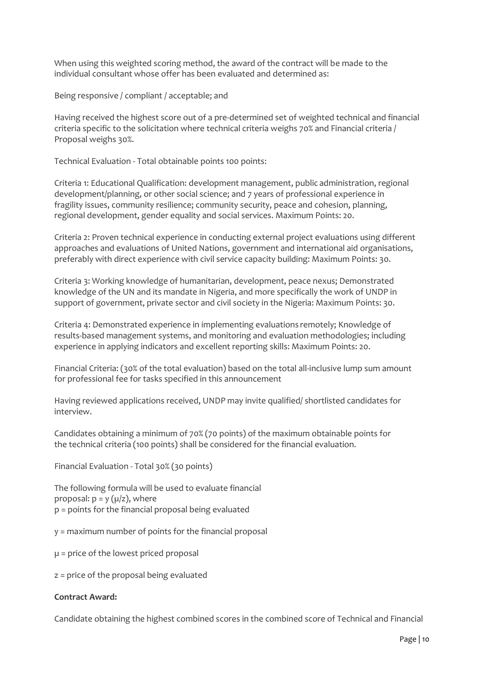When using this weighted scoring method, the award of the contract will be made to the individual consultant whose offer has been evaluated and determined as:

Being responsive / compliant / acceptable; and

Having received the highest score out of a pre-determined set of weighted technical and financial criteria specific to the solicitation where technical criteria weighs 70% and Financial criteria / Proposal weighs 30%.

Technical Evaluation - Total obtainable points 100 points:

Criteria 1: Educational Qualification: development management, public administration, regional development/planning, or other social science; and 7 years of professional experience in fragility issues, community resilience; community security, peace and cohesion, planning, regional development, gender equality and social services. Maximum Points: 20.

Criteria 2: Proven technical experience in conducting external project evaluations using different approaches and evaluations of United Nations, government and international aid organisations, preferably with direct experience with civil service capacity building: Maximum Points: 30.

Criteria 3: Working knowledge of humanitarian, development, peace nexus; Demonstrated knowledge of the UN and its mandate in Nigeria, and more specifically the work of UNDP in support of government, private sector and civil society in the Nigeria: Maximum Points: 30.

Criteria 4: Demonstrated experience in implementing evaluations remotely; Knowledge of results-based management systems, and monitoring and evaluation methodologies; including experience in applying indicators and excellent reporting skills: Maximum Points: 20.

Financial Criteria: (30% of the total evaluation) based on the total all-inclusive lump sum amount for professional fee for tasks specified in this announcement

Having reviewed applications received, UNDP may invite qualified/ shortlisted candidates for interview.

Candidates obtaining a minimum of 70% (70 points) of the maximum obtainable points for the technical criteria (100 points) shall be considered for the financial evaluation.

Financial Evaluation - Total 30% (30 points)

The following formula will be used to evaluate financial proposal:  $p = y (µ/z)$ , where p = points for the financial proposal being evaluated

- y = maximum number of points for the financial proposal
- µ = price of the lowest priced proposal
- z = price of the proposal being evaluated

#### **Contract Award:**

Candidate obtaining the highest combined scores in the combined score of Technical and Financial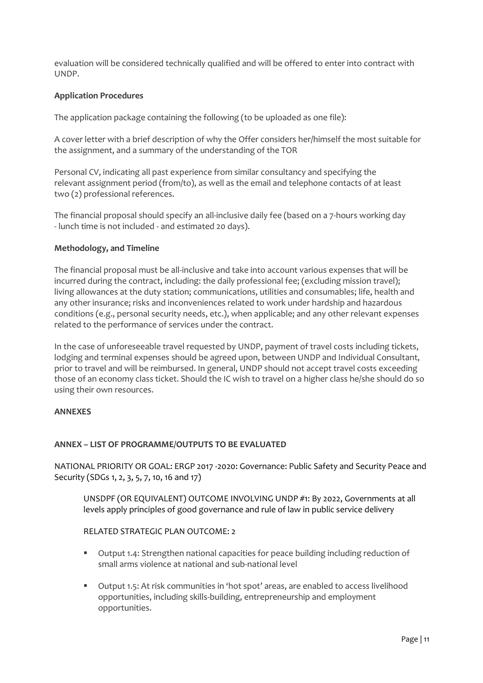evaluation will be considered technically qualified and will be offered to enter into contract with UNDP.

## **Application Procedures**

The application package containing the following (to be uploaded as one file):

A cover letter with a brief description of why the Offer considers her/himself the most suitable for the assignment, and a summary of the understanding of the TOR

Personal CV, indicating all past experience from similar consultancy and specifying the relevant assignment period (from/to), as well as the email and telephone contacts of at least two (2) professional references.

The financial proposal should specify an all-inclusive daily fee (based on a 7-hours working day - lunch time is not included - and estimated 20 days).

### **Methodology, and Timeline**

The financial proposal must be all-inclusive and take into account various expenses that will be incurred during the contract, including: the daily professional fee; (excluding mission travel); living allowances at the duty station; communications, utilities and consumables; life, health and any other insurance; risks and inconveniences related to work under hardship and hazardous conditions (e.g., personal security needs, etc.), when applicable; and any other relevant expenses related to the performance of services under the contract.

In the case of unforeseeable travel requested by UNDP, payment of travel costs including tickets, lodging and terminal expenses should be agreed upon, between UNDP and Individual Consultant, prior to travel and will be reimbursed. In general, UNDP should not accept travel costs exceeding those of an economy class ticket. Should the IC wish to travel on a higher class he/she should do so using their own resources.

### **ANNEXES**

#### **ANNEX – LIST OF PROGRAMME/OUTPUTS TO BE EVALUATED**

NATIONAL PRIORITY OR GOAL: ERGP 2017 -2020: Governance: Public Safety and Security Peace and Security (SDGs 1, 2, 3, 5, 7, 10, 16 and 17)

UNSDPF (OR EQUIVALENT) OUTCOME INVOLVING UNDP #1: By 2022, Governments at all levels apply principles of good governance and rule of law in public service delivery

#### RELATED STRATEGIC PLAN OUTCOME: 2

- Output 1.4: Strengthen national capacities for peace building including reduction of small arms violence at national and sub-national level
- Output 1.5: At risk communities in 'hot spot' areas, are enabled to access livelihood opportunities, including skills-building, entrepreneurship and employment opportunities.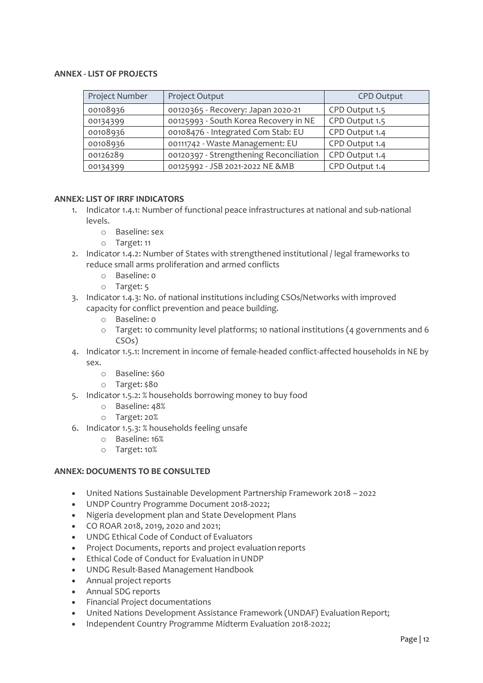### **ANNEX - LIST OF PROJECTS**

| Project Number | Project Output                          | <b>CPD Output</b> |
|----------------|-----------------------------------------|-------------------|
| 00108936       | 00120365 - Recovery: Japan 2020-21      | CPD Output 1.5    |
| 00134399       | 00125993 - South Korea Recovery in NE   | CPD Output 1.5    |
| 00108936       | 00108476 - Integrated Com Stab: EU      | CPD Output 1.4    |
| 00108936       | 00111742 - Waste Management: EU         | CPD Output 1.4    |
| 00126289       | 00120397 - Strengthening Reconciliation | CPD Output 1.4    |
| 00134399       | 00125992 - JSB 2021-2022 NE &MB         | CPD Output 1.4    |

#### **ANNEX: LIST OF IRRF INDICATORS**

- 1. Indicator 1.4.1: Number of functional peace infrastructures at national and sub-national levels.
	- o Baseline: sex
	- o Target: 11
- 2. Indicator 1.4.2: Number of States with strengthened institutional / legal frameworks to reduce small arms proliferation and armed conflicts
	- o Baseline: 0
	- o Target: 5
- 3. Indicator 1.4.3: No. of national institutions including CSOs/Networks with improved capacity for conflict prevention and peace building.
	- o Baseline: 0
	- o Target: 10 community level platforms; 10 national institutions (4 governments and 6 CSOs)
- 4. Indicator 1.5.1: Increment in income of female-headed conflict-affected households in NE by sex.
	- o Baseline: \$60
	- o Target: \$80
- 5. Indicator 1.5.2: % households borrowing money to buy food
	- o Baseline: 48%
	- o Target: 20%
- 6. Indicator 1.5.3: % households feeling unsafe
	- o Baseline: 16%
	- o Target: 10%

#### **ANNEX: DOCUMENTS TO BE CONSULTED**

- United Nations Sustainable Development Partnership Framework 2018 2022
- UNDP Country Programme Document 2018-2022;
- Nigeria development plan and State Development Plans
- CO ROAR 2018, 2019, 2020 and 2021;
- UNDG Ethical Code of Conduct of Evaluators
- Project Documents, reports and project evaluation reports
- Ethical Code of Conduct for Evaluation inUNDP
- UNDG Result-Based Management Handbook
- Annual project reports
- Annual SDG reports
- Financial Project documentations
- United Nations Development Assistance Framework (UNDAF) Evaluation Report;
- Independent Country Programme Midterm Evaluation 2018-2022;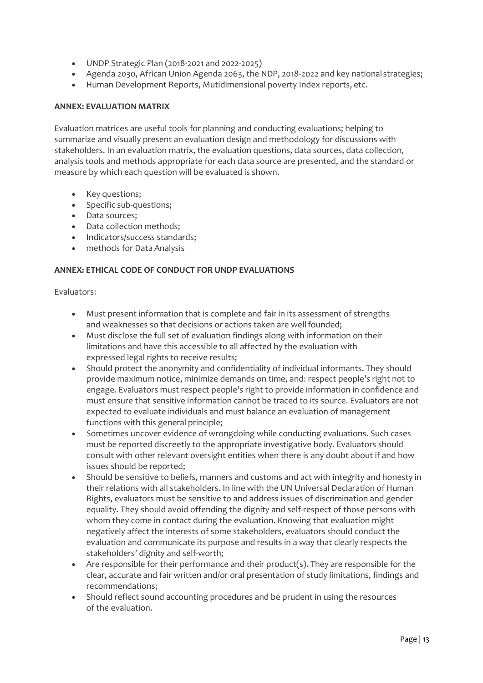- UNDP Strategic Plan (2018-2021 and 2022-2025)
- Agenda 2030, African Union Agenda 2063, the NDP, 2018-2022 and key national strategies;
- Human Development Reports, Mutidimensional poverty Index reports, etc.

### **ANNEX: EVALUATION MATRIX**

Evaluation matrices are useful tools for planning and conducting evaluations; helping to summarize and visually present an evaluation design and methodology for discussions with stakeholders. In an evaluation matrix, the evaluation questions, data sources, data collection, analysis tools and methods appropriate for each data source are presented, and the standard or measure by which each question will be evaluated is shown.

- Key questions;
- Specific sub-questions;
- Data sources;
- Data collection methods;
- Indicators/success standards;
- methods for Data Analysis

## **ANNEX: ETHICAL CODE OF CONDUCT FOR UNDP EVALUATIONS**

### Evaluators:

- Must present information that is complete and fair in its assessment of strengths and weaknesses so that decisions or actions taken are well founded;
- Must disclose the full set of evaluation findings along with information on their limitations and have this accessible to all affected by the evaluation with expressed legal rights to receive results;
- Should protect the anonymity and confidentiality of individual informants. They should provide maximum notice, minimize demands on time, and: respect people's right not to engage. Evaluators must respect people's right to provide information in confidence and must ensure that sensitive information cannot be traced to its source. Evaluators are not expected to evaluate individuals and must balance an evaluation of management functions with this general principle;
- Sometimes uncover evidence of wrongdoing while conducting evaluations. Such cases must be reported discreetly to the appropriate investigative body. Evaluators should consult with other relevant oversight entities when there is any doubt about if and how issues should be reported;
- Should be sensitive to beliefs, manners and customs and act with integrity and honesty in their relations with all stakeholders. In line with the UN Universal Declaration of Human Rights, evaluators must be sensitive to and address issues of discrimination and gender equality. They should avoid offending the dignity and self-respect of those persons with whom they come in contact during the evaluation. Knowing that evaluation might negatively affect the interests of some stakeholders, evaluators should conduct the evaluation and communicate its purpose and results in a way that clearly respects the stakeholders' dignity and self-worth;
- Are responsible for their performance and their product(s). They are responsible for the clear, accurate and fair written and/or oral presentation of study limitations, findings and recommendations;
- Should reflect sound accounting procedures and be prudent in using the resources of the evaluation.